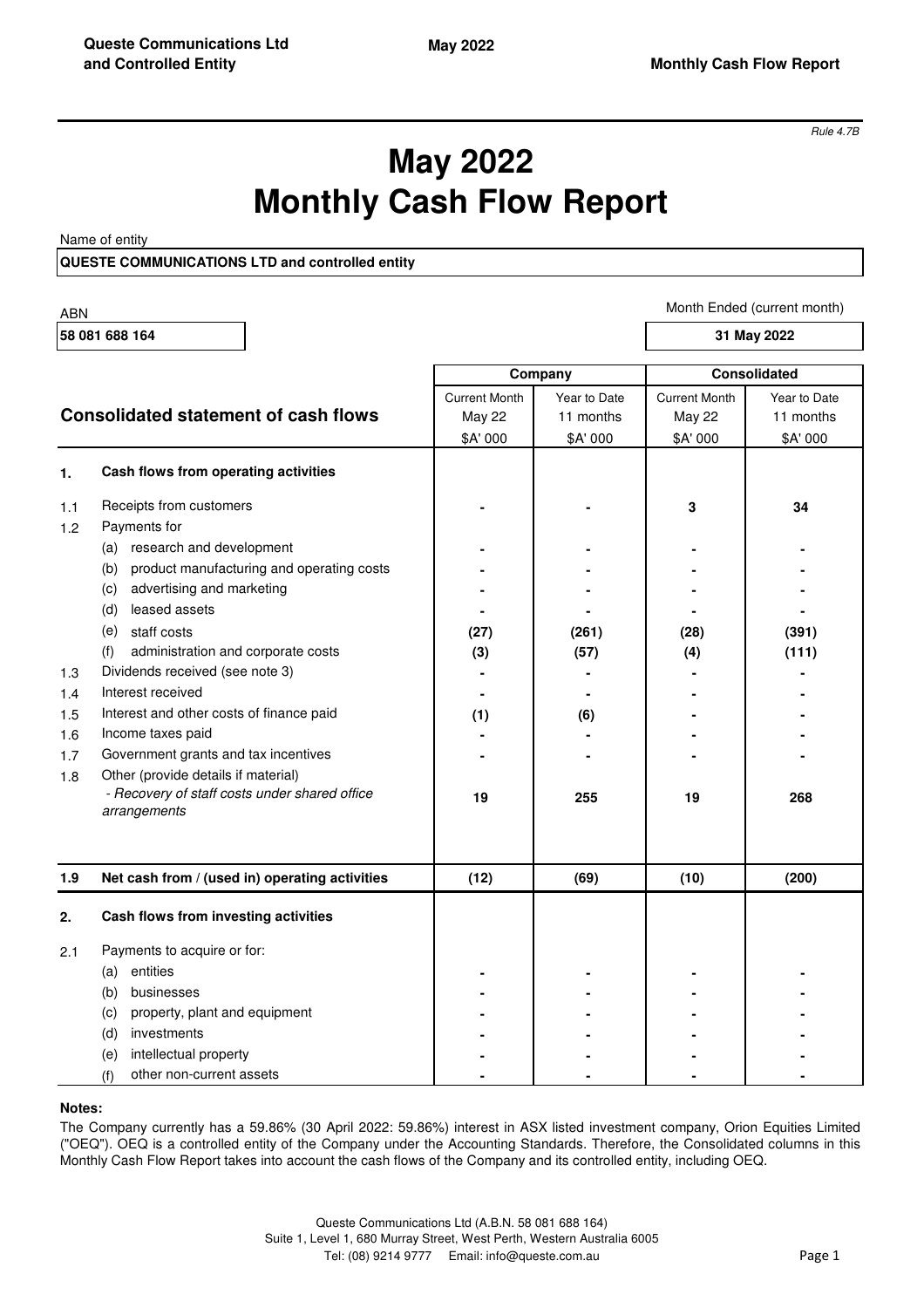*Rule 4.7B*

# **May 2022 Monthly Cash Flow Report**

Name of entity

## **QUESTE COMMUNICATIONS LTD and controlled entity**

| <b>ABN</b> |                                                               |                      |              |                      | Month Ended (current month) |
|------------|---------------------------------------------------------------|----------------------|--------------|----------------------|-----------------------------|
|            | 58 081 688 164<br>31 May 2022                                 |                      |              |                      |                             |
|            |                                                               | Company              |              | <b>Consolidated</b>  |                             |
|            |                                                               | <b>Current Month</b> | Year to Date | <b>Current Month</b> | Year to Date                |
|            | <b>Consolidated statement of cash flows</b>                   | <b>May 22</b>        | 11 months    | May 22               | 11 months                   |
|            |                                                               | \$A' 000             | \$A' 000     | \$A' 000             | \$A' 000                    |
| 1.         | Cash flows from operating activities                          |                      |              |                      |                             |
| 1.1        | Receipts from customers<br>Payments for                       |                      |              | 3                    | 34                          |
| 1.2        | (a) research and development                                  |                      |              |                      |                             |
|            | product manufacturing and operating costs<br>(b)              |                      |              |                      |                             |
|            | advertising and marketing<br>(c)                              |                      |              |                      |                             |
|            | leased assets<br>(d)                                          |                      |              |                      |                             |
|            | (e)<br>staff costs                                            | (27)                 | (261)        | (28)                 | (391)                       |
|            | administration and corporate costs<br>(f)                     | (3)                  | (57)         | (4)                  | (111)                       |
| 1.3        | Dividends received (see note 3)                               |                      |              |                      |                             |
| 1.4        | Interest received                                             |                      |              |                      |                             |
| 1.5        | Interest and other costs of finance paid                      | (1)                  | (6)          |                      |                             |
| 1.6        | Income taxes paid                                             |                      |              |                      |                             |
| 1.7        | Government grants and tax incentives                          |                      |              |                      |                             |
| 1.8        | Other (provide details if material)                           |                      |              |                      |                             |
|            | - Recovery of staff costs under shared office<br>arrangements | 19                   | 255          | 19                   | 268                         |
| 1.9        | Net cash from / (used in) operating activities                | (12)                 | (69)         | (10)                 | (200)                       |
| 2.         | Cash flows from investing activities                          |                      |              |                      |                             |
|            |                                                               |                      |              |                      |                             |
| 2.1        | Payments to acquire or for:                                   |                      |              |                      |                             |
|            | (a) entities                                                  |                      |              |                      |                             |
|            | (b) businesses                                                |                      |              |                      |                             |
|            | property, plant and equipment<br>(c)                          |                      |              |                      |                             |
|            | investments<br>(d)                                            |                      |              |                      |                             |
|            | intellectual property<br>(e)                                  |                      |              |                      |                             |
|            | other non-current assets<br>(f)                               |                      |              |                      |                             |

#### **Notes:**

The Company currently has a 59.86% (30 April 2022: 59.86%) interest in ASX listed investment company, Orion Equities Limited ("OEQ"). OEQ is a controlled entity of the Company under the Accounting Standards. Therefore, the Consolidated columns in this Monthly Cash Flow Report takes into account the cash flows of the Company and its controlled entity, including OEQ.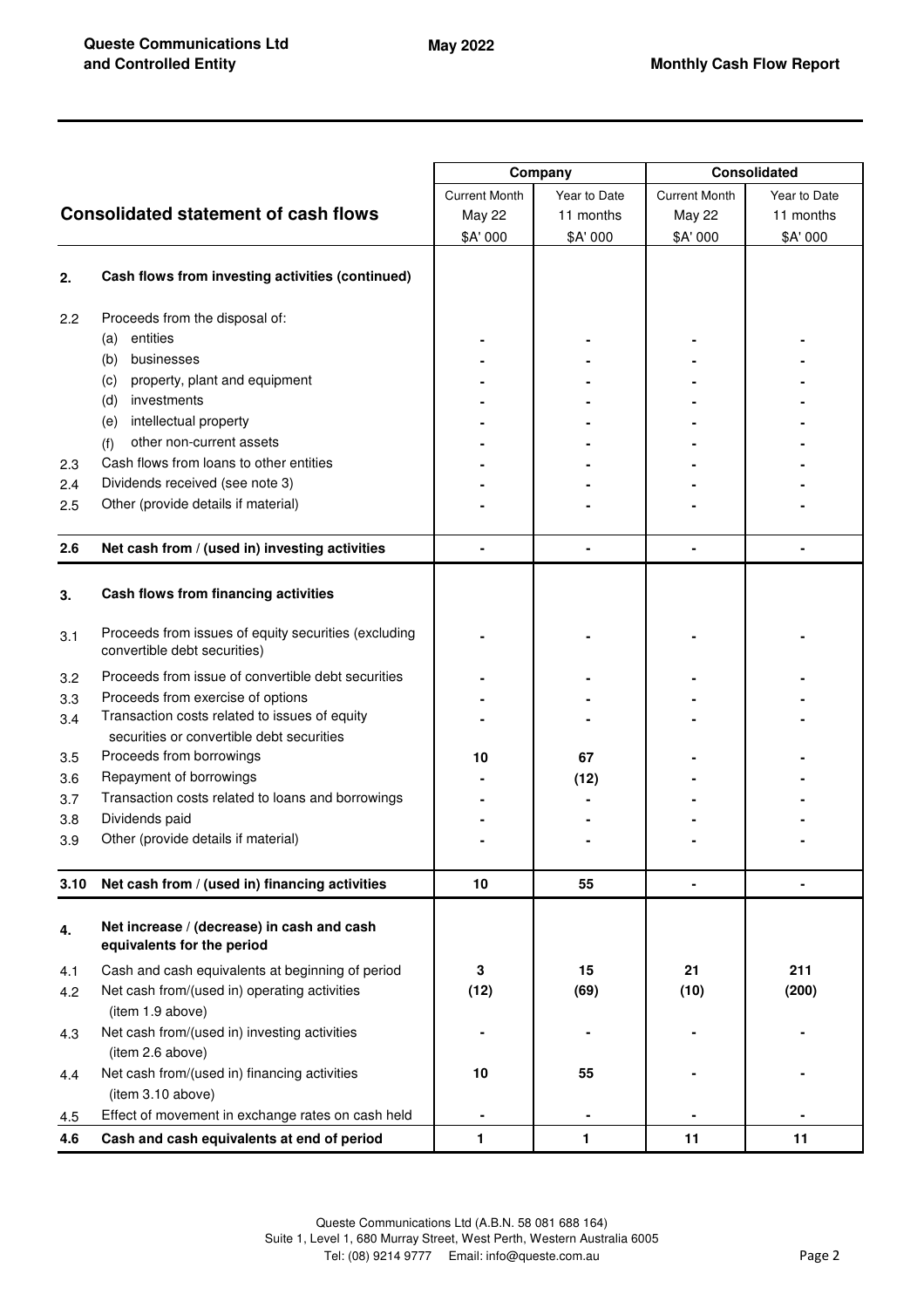|                  |                                                                                      | Company              |              | <b>Consolidated</b>  |              |
|------------------|--------------------------------------------------------------------------------------|----------------------|--------------|----------------------|--------------|
|                  |                                                                                      | <b>Current Month</b> | Year to Date | <b>Current Month</b> | Year to Date |
|                  | <b>Consolidated statement of cash flows</b>                                          | May 22               | 11 months    | <b>May 22</b>        | 11 months    |
|                  |                                                                                      | \$A' 000             | \$A' 000     | \$A' 000             | \$A' 000     |
|                  |                                                                                      |                      |              |                      |              |
| 2.               | Cash flows from investing activities (continued)                                     |                      |              |                      |              |
| $2.2\phantom{0}$ | Proceeds from the disposal of:                                                       |                      |              |                      |              |
|                  | entities<br>(a)                                                                      |                      |              |                      |              |
|                  | businesses<br>(b)                                                                    |                      |              |                      |              |
|                  | property, plant and equipment<br>(c)                                                 |                      |              |                      |              |
|                  | (d)<br>investments                                                                   |                      |              |                      |              |
|                  | intellectual property<br>(e)                                                         |                      |              |                      |              |
|                  | other non-current assets<br>(f)                                                      |                      |              |                      |              |
| 2.3              | Cash flows from loans to other entities                                              |                      |              |                      |              |
| 2.4              | Dividends received (see note 3)                                                      |                      |              |                      |              |
| 2.5              | Other (provide details if material)                                                  |                      |              |                      |              |
| 2.6              | Net cash from / (used in) investing activities                                       |                      |              |                      |              |
|                  |                                                                                      |                      |              |                      |              |
| 3.               | Cash flows from financing activities                                                 |                      |              |                      |              |
| 3.1              | Proceeds from issues of equity securities (excluding<br>convertible debt securities) |                      |              |                      |              |
| 3.2              | Proceeds from issue of convertible debt securities                                   |                      |              |                      |              |
| 3.3              | Proceeds from exercise of options                                                    |                      |              |                      |              |
| 3.4              | Transaction costs related to issues of equity                                        |                      |              |                      |              |
|                  | securities or convertible debt securities                                            |                      |              |                      |              |
| 3.5              | Proceeds from borrowings                                                             | 10                   | 67           |                      |              |
| 3.6              | Repayment of borrowings                                                              |                      | (12)         |                      |              |
| 3.7              | Transaction costs related to loans and borrowings                                    |                      |              |                      |              |
| 3.8              | Dividends paid                                                                       |                      |              |                      |              |
| 3.9              | Other (provide details if material)                                                  |                      |              |                      |              |
|                  |                                                                                      |                      |              |                      |              |
| 3.10             | Net cash from / (used in) financing activities                                       | 10                   | 55           | ۰                    | ۰            |
| 4.               | Net increase / (decrease) in cash and cash<br>equivalents for the period             |                      |              |                      |              |
| 4.1              | Cash and cash equivalents at beginning of period                                     | 3                    | 15           | 21                   | 211          |
| 4.2              | Net cash from/(used in) operating activities<br>(item 1.9 above)                     | (12)                 | (69)         | (10)                 | (200)        |
|                  | Net cash from/(used in) investing activities                                         |                      |              |                      |              |
| 4.3              | (item 2.6 above)                                                                     |                      |              |                      |              |
| 4.4              | Net cash from/(used in) financing activities                                         | 10                   | 55           |                      |              |
|                  | (item 3.10 above)                                                                    |                      |              |                      |              |
| 4.5              | Effect of movement in exchange rates on cash held                                    |                      |              |                      |              |
| 4.6              | Cash and cash equivalents at end of period                                           | 1                    | 1            | 11                   | 11           |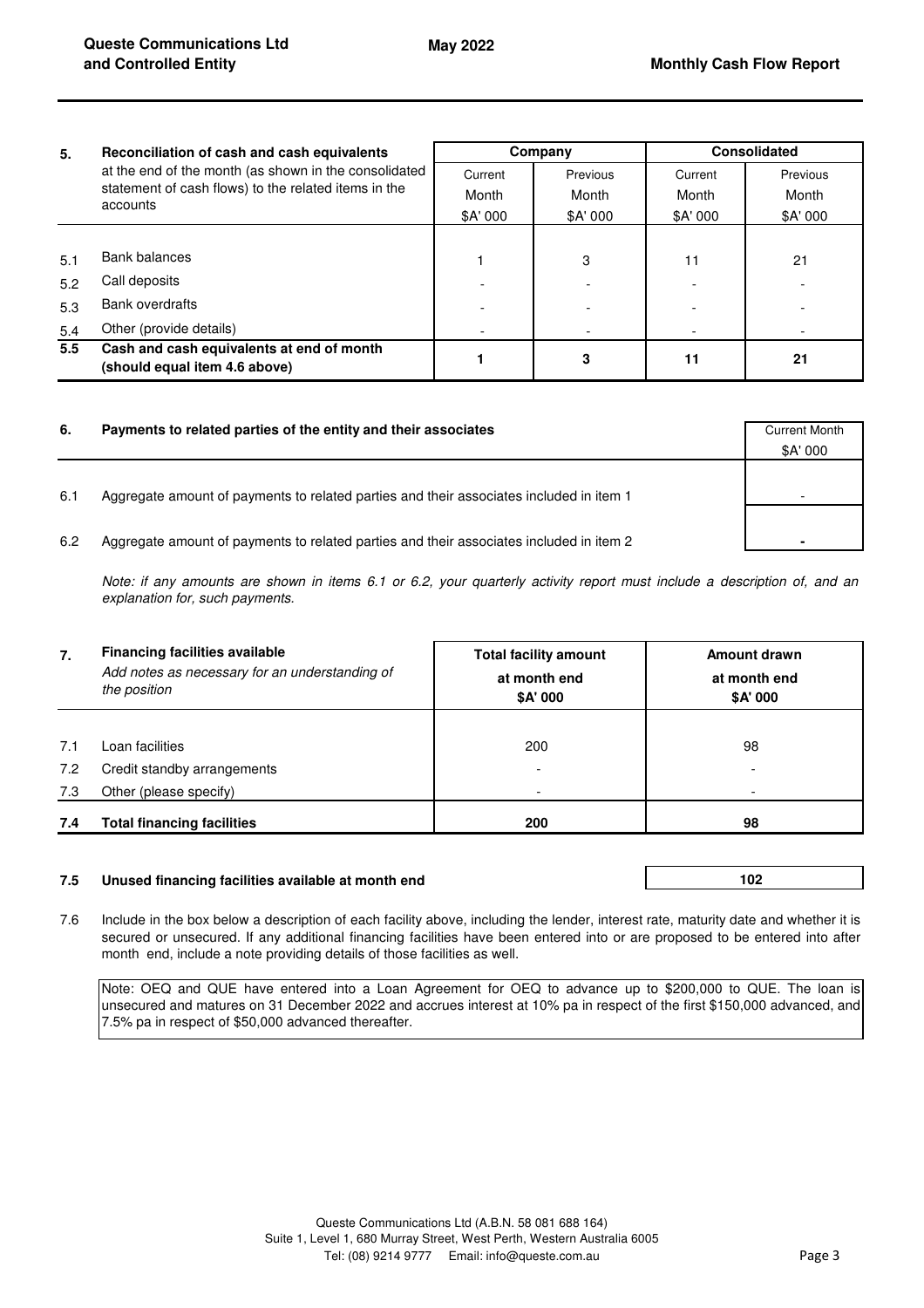| 5.  | Reconciliation of cash and cash equivalents<br>at the end of the month (as shown in the consolidated<br>statement of cash flows) to the related items in the<br>accounts | Company  |          | <b>Consolidated</b> |          |
|-----|--------------------------------------------------------------------------------------------------------------------------------------------------------------------------|----------|----------|---------------------|----------|
|     |                                                                                                                                                                          | Current  | Previous | Current             | Previous |
|     |                                                                                                                                                                          | Month    | Month    | Month               | Month    |
|     |                                                                                                                                                                          | \$A' 000 | \$A' 000 | \$A' 000            | \$A' 000 |
|     |                                                                                                                                                                          |          |          |                     |          |
| 5.1 | Bank balances                                                                                                                                                            |          | 3        | 11                  | 21       |
| 5.2 | Call deposits                                                                                                                                                            |          |          |                     |          |
| 5.3 | <b>Bank overdrafts</b>                                                                                                                                                   |          |          |                     |          |
| 5.4 | Other (provide details)                                                                                                                                                  |          |          |                     |          |
| 5.5 | Cash and cash equivalents at end of month<br>(should equal item 4.6 above)                                                                                               |          | 3        | 11                  | 21       |

| 6.  | Payments to related parties of the entity and their associates                          | <b>Current Month</b><br>\$A' 000 |
|-----|-----------------------------------------------------------------------------------------|----------------------------------|
| 6.1 | Aggregate amount of payments to related parties and their associates included in item 1 |                                  |
| 6.2 | Aggregate amount of payments to related parties and their associates included in item 2 |                                  |

*Note: if any amounts are shown in items 6.1 or 6.2, your quarterly activity report must include a description of, and an explanation for, such payments.*

| 7.  | <b>Financing facilities available</b><br>Add notes as necessary for an understanding of<br>the position | <b>Total facility amount</b><br>at month end<br>\$A' 000 | Amount drawn<br>at month end<br>\$A' 000 |  |
|-----|---------------------------------------------------------------------------------------------------------|----------------------------------------------------------|------------------------------------------|--|
|     |                                                                                                         |                                                          |                                          |  |
| 7.1 | Loan facilities                                                                                         | 200                                                      | 98                                       |  |
| 7.2 | Credit standby arrangements                                                                             |                                                          |                                          |  |
| 7.3 | Other (please specify)                                                                                  |                                                          |                                          |  |
| 7.4 | <b>Total financing facilities</b>                                                                       | 200                                                      | 98                                       |  |

## **7.5 Unused financing facilities available at month end**

**102** 

7.6 Include in the box below a description of each facility above, including the lender, interest rate, maturity date and whether it is secured or unsecured. If any additional financing facilities have been entered into or are proposed to be entered into after month end, include a note providing details of those facilities as well.

Note: OEQ and QUE have entered into a Loan Agreement for OEQ to advance up to \$200,000 to QUE. The loan is unsecured and matures on 31 December 2022 and accrues interest at 10% pa in respect of the first \$150,000 advanced, and 7.5% pa in respect of \$50,000 advanced thereafter.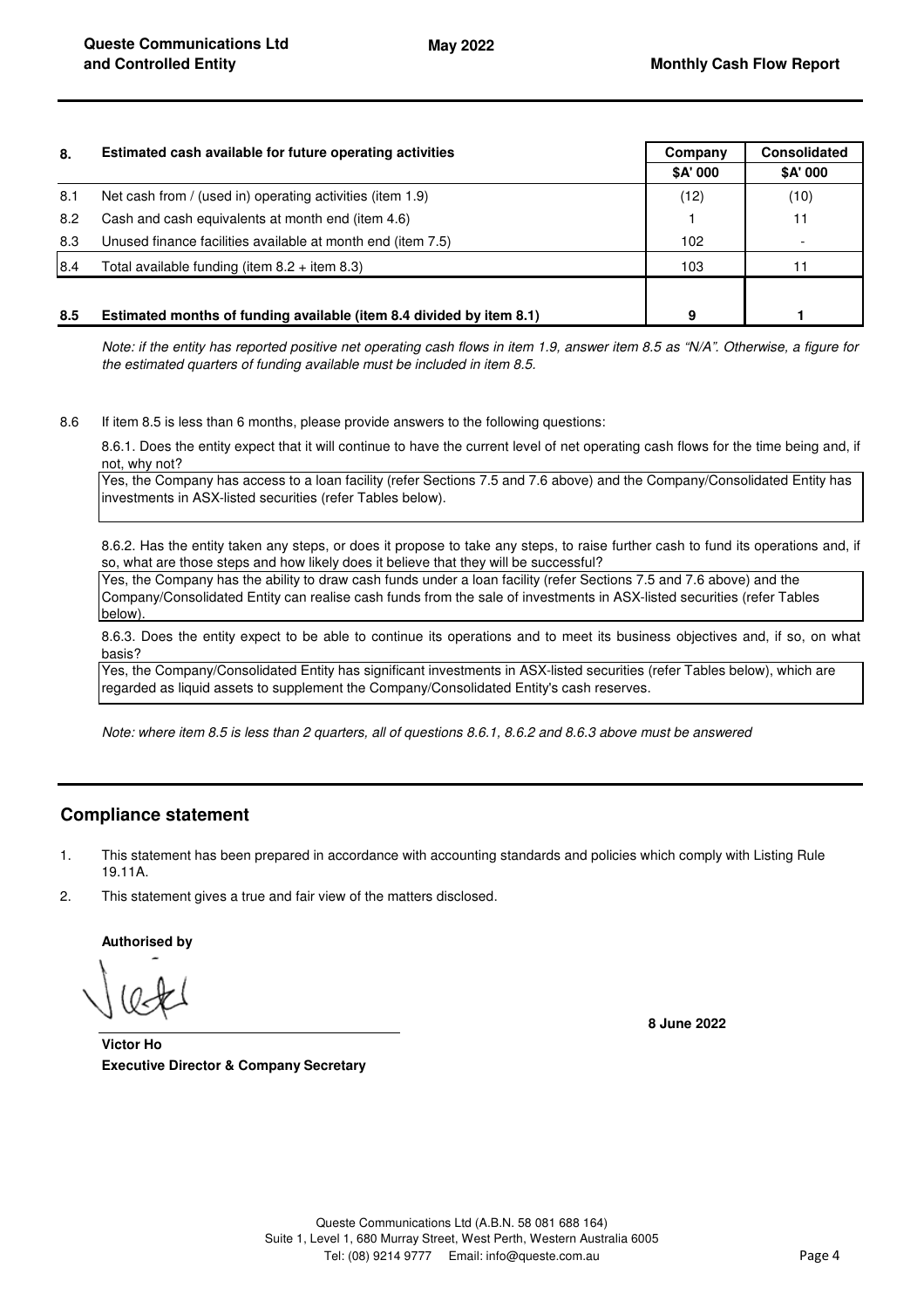| 8.   | Estimated cash available for future operating activities             | Company  | <b>Consolidated</b> |
|------|----------------------------------------------------------------------|----------|---------------------|
|      |                                                                      | \$A' 000 | \$A' 000            |
| 8.1  | Net cash from / (used in) operating activities (item 1.9)            | (12)     | (10)                |
| 8.2  | Cash and cash equivalents at month end (item 4.6)                    |          | 11                  |
| 8.3  | Unused finance facilities available at month end (item 7.5)          | 102      |                     |
| 18.4 | Total available funding (item $8.2 +$ item $8.3$ )                   | 103      |                     |
|      |                                                                      |          |                     |
| 8.5  | Estimated months of funding available (item 8.4 divided by item 8.1) | 9        |                     |

*Note: if the entity has reported positive net operating cash flows in item 1.9, answer item 8.5 as "N/A". Otherwise, a figure for the estimated quarters of funding available must be included in item 8.5.*

8.6 If item 8.5 is less than 6 months, please provide answers to the following questions:

8.6.1. Does the entity expect that it will continue to have the current level of net operating cash flows for the time being and, if not, why not?

Yes, the Company has access to a loan facility (refer Sections 7.5 and 7.6 above) and the Company/Consolidated Entity has investments in ASX-listed securities (refer Tables below).

8.6.2. Has the entity taken any steps, or does it propose to take any steps, to raise further cash to fund its operations and, if so, what are those steps and how likely does it believe that they will be successful?

Yes, the Company has the ability to draw cash funds under a loan facility (refer Sections 7.5 and 7.6 above) and the Company/Consolidated Entity can realise cash funds from the sale of investments in ASX-listed securities (refer Tables below).

8.6.3. Does the entity expect to be able to continue its operations and to meet its business objectives and, if so, on what basis?

Yes, the Company/Consolidated Entity has significant investments in ASX-listed securities (refer Tables below), which are regarded as liquid assets to supplement the Company/Consolidated Entity's cash reserves.

*Note: where item 8.5 is less than 2 quarters, all of questions 8.6.1, 8.6.2 and 8.6.3 above must be answered*

# **Compliance statement**

- 1. This statement has been prepared in accordance with accounting standards and policies which comply with Listing Rule 19.11A.
- 2. This statement gives a true and fair view of the matters disclosed.

**Authorised by**

**8 June 2022**

**Executive Director & Company Secretary Victor Ho**